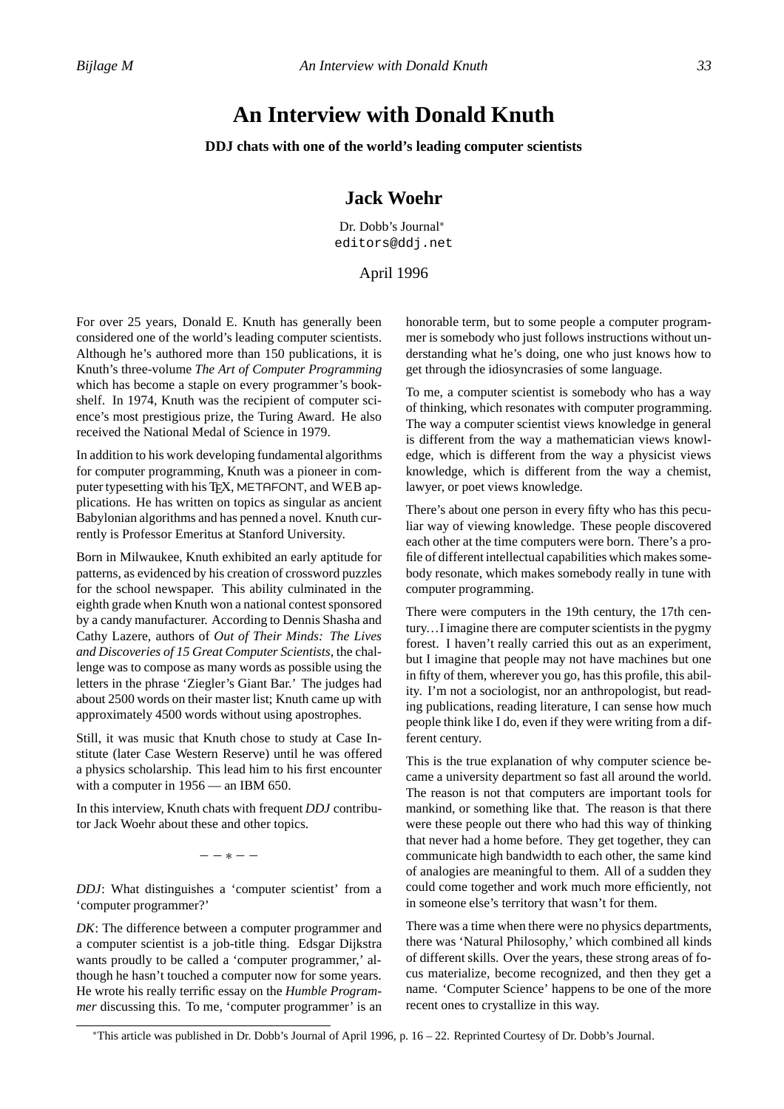## **An Interview with Donald Knuth**

**DDJ chats with one of the world's leading computer scientists**

## **Jack Woehr**

Dr. Dobb's Journal<sup>∗</sup> editors@ddj.net

## April 1996

For over 25 years, Donald E. Knuth has generally been considered one of the world's leading computer scientists. Although he's authored more than 150 publications, it is Knuth's three-volume *The Art of Computer Programming* which has become a staple on every programmer's bookshelf. In 1974, Knuth was the recipient of computer science's most prestigious prize, the Turing Award. He also received the National Medal of Science in 1979.

In addition to his work developing fundamental algorithms for computer programming, Knuth was a pioneer in computer typesetting with his TEX, METAFONT, and WEB applications. He has written on topics as singular as ancient Babylonian algorithms and has penned a novel. Knuth currently is Professor Emeritus at Stanford University.

Born in Milwaukee, Knuth exhibited an early aptitude for patterns, as evidenced by his creation of crossword puzzles for the school newspaper. This ability culminated in the eighth grade when Knuth won a national contest sponsored by a candy manufacturer. According to Dennis Shasha and Cathy Lazere, authors of *Out of Their Minds: The Lives and Discoveries of 15 Great Computer Scientists,* the challenge was to compose as many words as possible using the letters in the phrase 'Ziegler's Giant Bar.' The judges had about 2500 words on their master list; Knuth came up with approximately 4500 words without using apostrophes.

Still, it was music that Knuth chose to study at Case Institute (later Case Western Reserve) until he was offered a physics scholarship. This lead him to his first encounter with a computer in 1956 — an IBM 650.

In this interview, Knuth chats with frequent *DDJ* contributor Jack Woehr about these and other topics.

−−∗−−

*DDJ*: What distinguishes a 'computer scientist' from a 'computer programmer?'

*DK*: The difference between a computer programmer and a computer scientist is a job-title thing. Edsgar Dijkstra wants proudly to be called a 'computer programmer,' although he hasn't touched a computer now for some years. He wrote his really terrific essay on the *Humble Programmer* discussing this. To me, 'computer programmer' is an honorable term, but to some people a computer programmer is somebody who just follows instructions without understanding what he's doing, one who just knows how to get through the idiosyncrasies of some language.

To me, a computer scientist is somebody who has a way of thinking, which resonates with computer programming. The way a computer scientist views knowledge in general is different from the way a mathematician views knowledge, which is different from the way a physicist views knowledge, which is different from the way a chemist, lawyer, or poet views knowledge.

There's about one person in every fifty who has this peculiar way of viewing knowledge. These people discovered each other at the time computers were born. There's a profile of different intellectual capabilities which makes somebody resonate, which makes somebody really in tune with computer programming.

There were computers in the 19th century, the 17th century...I imagine there are computer scientists in the pygmy forest. I haven't really carried this out as an experiment, but I imagine that people may not have machines but one in fifty of them, wherever you go, has this profile, this ability. I'm not a sociologist, nor an anthropologist, but reading publications, reading literature, I can sense how much people think like I do, even if they were writing from a different century.

This is the true explanation of why computer science became a university department so fast all around the world. The reason is not that computers are important tools for mankind, or something like that. The reason is that there were these people out there who had this way of thinking that never had a home before. They get together, they can communicate high bandwidth to each other, the same kind of analogies are meaningful to them. All of a sudden they could come together and work much more efficiently, not in someone else's territory that wasn't for them.

There was a time when there were no physics departments, there was 'Natural Philosophy,' which combined all kinds of different skills. Over the years, these strong areas of focus materialize, become recognized, and then they get a name. 'Computer Science' happens to be one of the more recent ones to crystallize in this way.

<sup>∗</sup>This article was published in Dr. Dobb's Journal of April 1996, p. 16 – 22. Reprinted Courtesy of Dr. Dobb's Journal.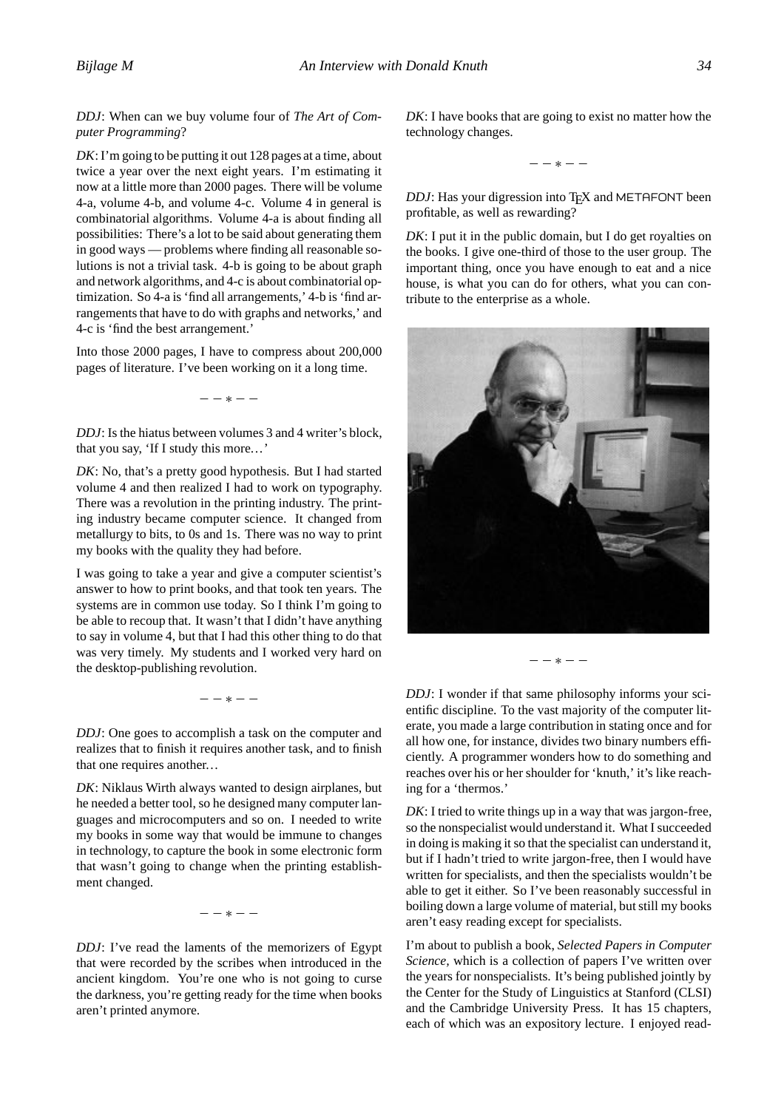*DDJ*: When can we buy volume four of *The Art of Computer Programming*?

*DK*: I'm going to be putting it out 128 pages at a time, about twice a year over the next eight years. I'm estimating it now at a little more than 2000 pages. There will be volume 4-a, volume 4-b, and volume 4-c. Volume 4 in general is combinatorial algorithms. Volume 4-a is about finding all possibilities: There's a lot to be said about generating them in good ways — problems where finding all reasonable solutions is not a trivial task. 4-b is going to be about graph and network algorithms, and 4-c is about combinatorial optimization. So 4-a is 'find all arrangements,' 4-b is 'find arrangements that have to do with graphs and networks,' and 4-c is 'find the best arrangement.'

Into those 2000 pages, I have to compress about 200,000 pages of literature. I've been working on it a long time.

−−∗−−

*DDJ*: Is the hiatus between volumes 3 and 4 writer's block, that you say, 'If I study this more...'

*DK*: No, that's a pretty good hypothesis. But I had started volume 4 and then realized I had to work on typography. There was a revolution in the printing industry. The printing industry became computer science. It changed from metallurgy to bits, to 0s and 1s. There was no way to print my books with the quality they had before.

I was going to take a year and give a computer scientist's answer to how to print books, and that took ten years. The systems are in common use today. So I think I'm going to be able to recoup that. It wasn't that I didn't have anything to say in volume 4, but that I had this other thing to do that was very timely. My students and I worked very hard on the desktop-publishing revolution.

−−∗−−

*DDJ*: One goes to accomplish a task on the computer and realizes that to finish it requires another task, and to finish that one requires another...

*DK*: Niklaus Wirth always wanted to design airplanes, but he needed a better tool, so he designed many computer languages and microcomputers and so on. I needed to write my books in some way that would be immune to changes in technology, to capture the book in some electronic form that wasn't going to change when the printing establishment changed.

−−∗−−

*DDJ*: I've read the laments of the memorizers of Egypt that were recorded by the scribes when introduced in the ancient kingdom. You're one who is not going to curse the darkness, you're getting ready for the time when books aren't printed anymore.

*DK*: I have books that are going to exist no matter how the technology changes.

−−∗−−

*DDJ*: Has your digression into T<sub>E</sub>X and METAFONT been profitable, as well as rewarding?

*DK*: I put it in the public domain, but I do get royalties on the books. I give one-third of those to the user group. The important thing, once you have enough to eat and a nice house, is what you can do for others, what you can contribute to the enterprise as a whole.



−−∗−−

*DDJ*: I wonder if that same philosophy informs your scientific discipline. To the vast majority of the computer literate, you made a large contribution in stating once and for all how one, for instance, divides two binary numbers efficiently. A programmer wonders how to do something and reaches over his or her shoulder for 'knuth,' it's like reaching for a 'thermos.'

*DK*: I tried to write things up in a way that was jargon-free, so the nonspecialist would understand it. What I succeeded in doing is making it so that the specialist can understand it, but if I hadn't tried to write jargon-free, then I would have written for specialists, and then the specialists wouldn't be able to get it either. So I've been reasonably successful in boiling down a large volume of material, but still my books aren't easy reading except for specialists.

I'm about to publish a book, *Selected Papers in Computer Science,* which is a collection of papers I've written over the years for nonspecialists. It's being published jointly by the Center for the Study of Linguistics at Stanford (CLSI) and the Cambridge University Press. It has 15 chapters, each of which was an expository lecture. I enjoyed read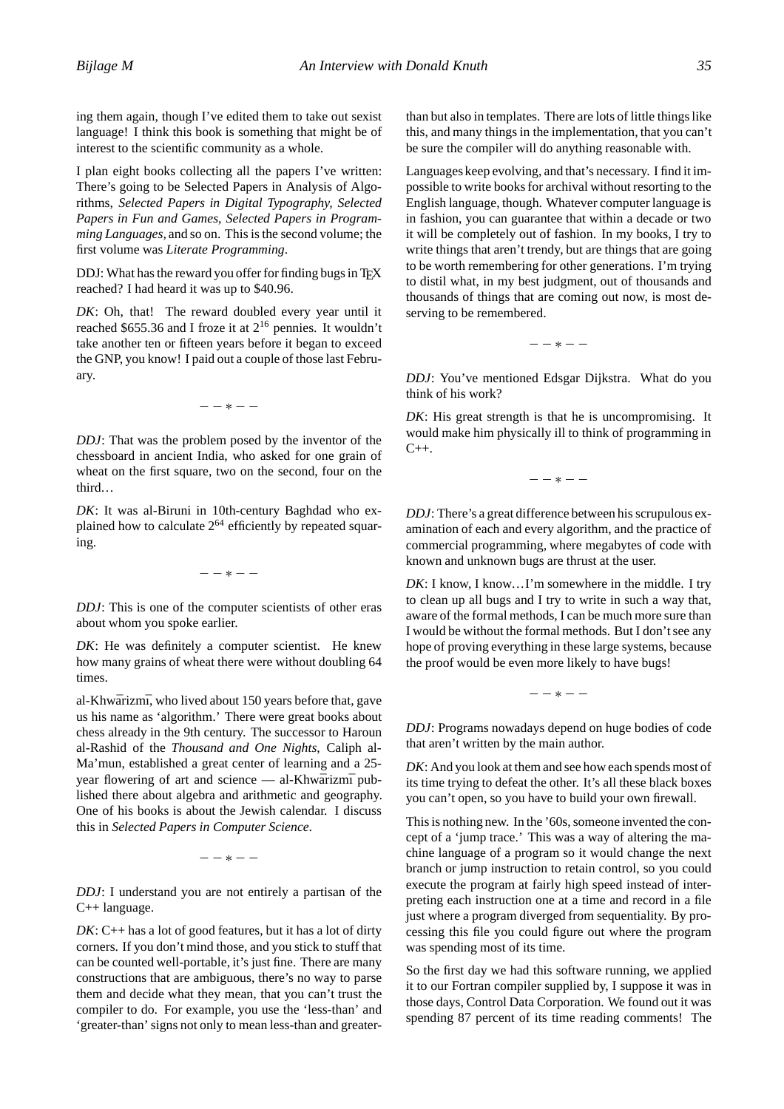ing them again, though I've edited them to take out sexist language! I think this book is something that might be of interest to the scientific community as a whole.

I plan eight books collecting all the papers I've written: There's going to be Selected Papers in Analysis of Algorithms, *Selected Papers in Digital Typography, Selected Papers in Fun and Games, Selected Papers in Programming Languages,* and so on. This is the second volume; the first volume was *Literate Programming*.

DDJ: What has the reward you offer for finding bugs in TFX reached? I had heard it was up to \$40.96.

*DK*: Oh, that! The reward doubled every year until it reached \$655.36 and I froze it at  $2^{16}$  pennies. It wouldn't take another ten or fifteen years before it began to exceed the GNP, you know! I paid out a couple of those last February.

−−∗−−

*DDJ*: That was the problem posed by the inventor of the chessboard in ancient India, who asked for one grain of wheat on the first square, two on the second, four on the third...

*DK*: It was al-Biruni in 10th-century Baghdad who explained how to calculate  $2^{64}$  efficiently by repeated squaring.

−−∗−−

*DDJ*: This is one of the computer scientists of other eras about whom you spoke earlier.

*DK*: He was definitely a computer scientist. He knew how many grains of wheat there were without doubling 64 times.

al-Khwārizmī, who lived about 150 years before that, gave us his name as 'algorithm.' There were great books about chess already in the 9th century. The successor to Haroun al-Rashid of the *Thousand and One Nights*, Caliph al-Ma'mun, established a great center of learning and a 25 year flowering of art and science — al-Khwārizmī published there about algebra and arithmetic and geography. One of his books is about the Jewish calendar. I discuss this in *Selected Papers in Computer Science*.

−−∗−−

*DDJ*: I understand you are not entirely a partisan of the C++ language.

*DK*: C++ has a lot of good features, but it has a lot of dirty corners. If you don't mind those, and you stick to stuff that can be counted well-portable, it's just fine. There are many constructions that are ambiguous, there's no way to parse them and decide what they mean, that you can't trust the compiler to do. For example, you use the 'less-than' and 'greater-than' signs not only to mean less-than and greaterthan but also in templates. There are lots of little things like this, and many things in the implementation, that you can't be sure the compiler will do anything reasonable with.

Languages keep evolving, and that's necessary. I find it impossible to write books for archival without resorting to the English language, though. Whatever computer language is in fashion, you can guarantee that within a decade or two it will be completely out of fashion. In my books, I try to write things that aren't trendy, but are things that are going to be worth remembering for other generations. I'm trying to distil what, in my best judgment, out of thousands and thousands of things that are coming out now, is most deserving to be remembered.

−−∗−−

*DDJ*: You've mentioned Edsgar Dijkstra. What do you think of his work?

*DK*: His great strength is that he is uncompromising. It would make him physically ill to think of programming in  $C_{++}$ .

−−∗−−

*DDJ*: There's a great difference between his scrupulous examination of each and every algorithm, and the practice of commercial programming, where megabytes of code with known and unknown bugs are thrust at the user.

*DK*: I know, I know...I'm somewhere in the middle. I try to clean up all bugs and I try to write in such a way that, aware of the formal methods, I can be much more sure than I would be without the formal methods. But I don't see any hope of proving everything in these large systems, because the proof would be even more likely to have bugs!

−−∗−−

*DDJ*: Programs nowadays depend on huge bodies of code that aren't written by the main author.

*DK*: And you look at them and see how each spends most of its time trying to defeat the other. It's all these black boxes you can't open, so you have to build your own firewall.

This is nothing new. In the '60s, someone invented the concept of a 'jump trace.' This was a way of altering the machine language of a program so it would change the next branch or jump instruction to retain control, so you could execute the program at fairly high speed instead of interpreting each instruction one at a time and record in a file just where a program diverged from sequentiality. By processing this file you could figure out where the program was spending most of its time.

So the first day we had this software running, we applied it to our Fortran compiler supplied by, I suppose it was in those days, Control Data Corporation. We found out it was spending 87 percent of its time reading comments! The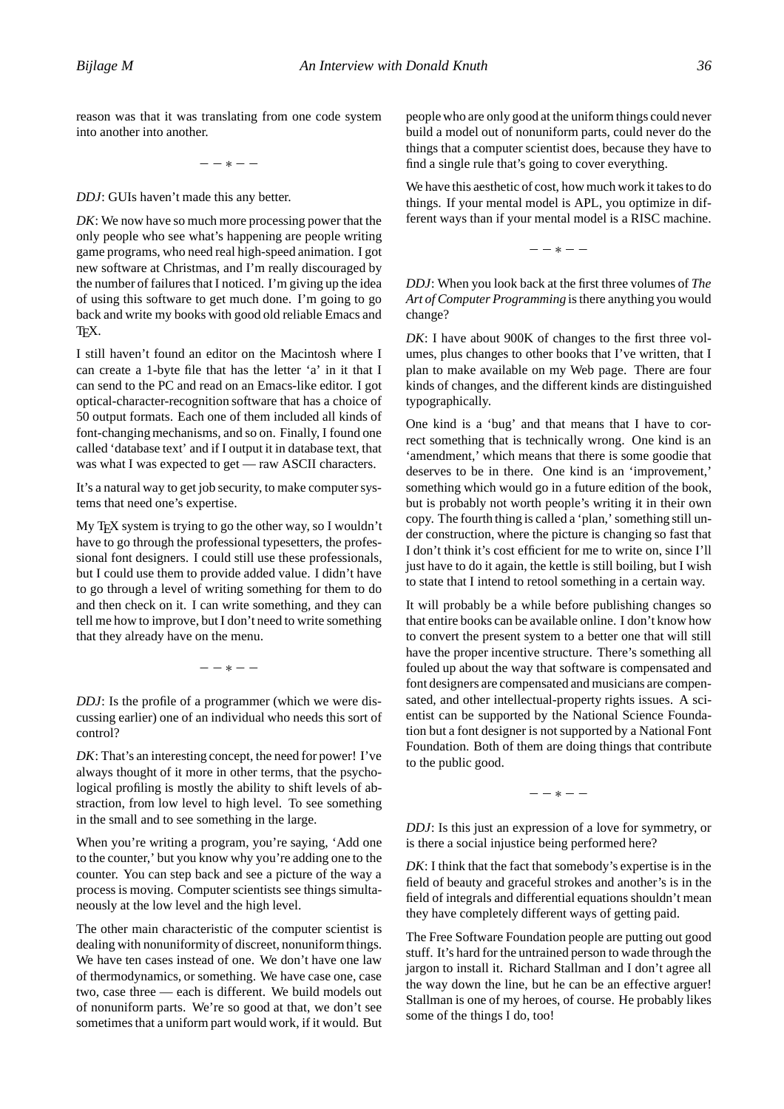reason was that it was translating from one code system into another into another.

−−∗−−

*DDJ*: GUIs haven't made this any better.

*DK*: We now have so much more processing power that the only people who see what's happening are people writing game programs, who need real high-speed animation. I got new software at Christmas, and I'm really discouraged by the number of failures that I noticed. I'm giving up the idea of using this software to get much done. I'm going to go back and write my books with good old reliable Emacs and TEX.

I still haven't found an editor on the Macintosh where I can create a 1-byte file that has the letter 'a' in it that I can send to the PC and read on an Emacs-like editor. I got optical-character-recognition software that has a choice of 50 output formats. Each one of them included all kinds of font-changing mechanisms, and so on. Finally, I found one called 'database text' and if I output it in database text, that was what I was expected to get — raw ASCII characters.

It's a natural way to get job security, to make computer systems that need one's expertise.

My T<sub>E</sub>X system is trying to go the other way, so I wouldn't have to go through the professional typesetters, the professional font designers. I could still use these professionals, but I could use them to provide added value. I didn't have to go through a level of writing something for them to do and then check on it. I can write something, and they can tell me how to improve, but I don't need to write something that they already have on the menu.

−−∗−−

*DDJ*: Is the profile of a programmer (which we were discussing earlier) one of an individual who needs this sort of control?

*DK*: That's an interesting concept, the need for power! I've always thought of it more in other terms, that the psychological profiling is mostly the ability to shift levels of abstraction, from low level to high level. To see something in the small and to see something in the large.

When you're writing a program, you're saying, 'Add one to the counter,' but you know why you're adding one to the counter. You can step back and see a picture of the way a process is moving. Computer scientists see things simultaneously at the low level and the high level.

The other main characteristic of the computer scientist is dealing with nonuniformity of discreet, nonuniform things. We have ten cases instead of one. We don't have one law of thermodynamics, or something. We have case one, case two, case three — each is different. We build models out of nonuniform parts. We're so good at that, we don't see sometimes that a uniform part would work, if it would. But people who are only good at the uniform things could never build a model out of nonuniform parts, could never do the things that a computer scientist does, because they have to find a single rule that's going to cover everything.

We have this aesthetic of cost, how much work it takes to do things. If your mental model is APL, you optimize in different ways than if your mental model is a RISC machine.

−−∗−−

*DDJ*: When you look back at the first three volumes of *The Art of Computer Programming* is there anything you would change?

*DK*: I have about 900K of changes to the first three volumes, plus changes to other books that I've written, that I plan to make available on my Web page. There are four kinds of changes, and the different kinds are distinguished typographically.

One kind is a 'bug' and that means that I have to correct something that is technically wrong. One kind is an 'amendment,' which means that there is some goodie that deserves to be in there. One kind is an 'improvement,' something which would go in a future edition of the book, but is probably not worth people's writing it in their own copy. The fourth thing is called a 'plan,' something still under construction, where the picture is changing so fast that I don't think it's cost efficient for me to write on, since I'll just have to do it again, the kettle is still boiling, but I wish to state that I intend to retool something in a certain way.

It will probably be a while before publishing changes so that entire books can be available online. I don't know how to convert the present system to a better one that will still have the proper incentive structure. There's something all fouled up about the way that software is compensated and font designers are compensated and musicians are compensated, and other intellectual-property rights issues. A scientist can be supported by the National Science Foundation but a font designer is not supported by a National Font Foundation. Both of them are doing things that contribute to the public good.

−−∗−−

*DDJ*: Is this just an expression of a love for symmetry, or is there a social injustice being performed here?

*DK*: I think that the fact that somebody's expertise is in the field of beauty and graceful strokes and another's is in the field of integrals and differential equations shouldn't mean they have completely different ways of getting paid.

The Free Software Foundation people are putting out good stuff. It's hard for the untrained person to wade through the jargon to install it. Richard Stallman and I don't agree all the way down the line, but he can be an effective arguer! Stallman is one of my heroes, of course. He probably likes some of the things I do, too!